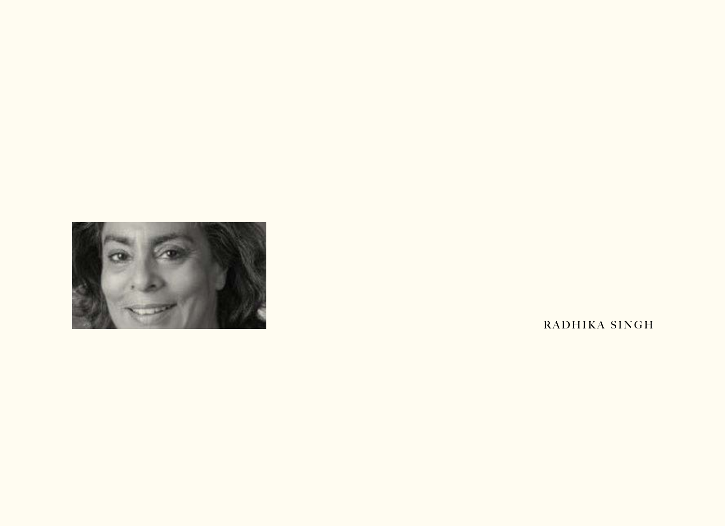

RADHIKA SINGH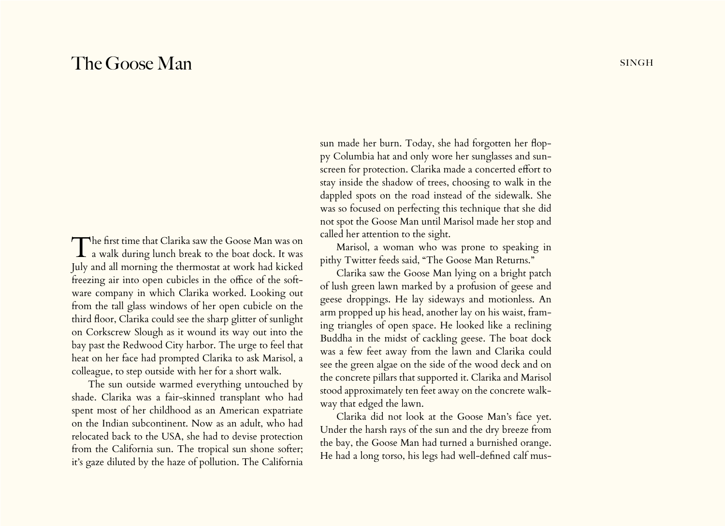## The Goose Man singh

The first time that Clarika saw the Goose Man was on<br>a walk during lunch break to the boat dock. It was July and all morning the thermostat at work had kicked freezing air into open cubicles in the office of the software company in which Clarika worked. Looking out from the tall glass windows of her open cubicle on the third floor, Clarika could see the sharp glitter of sunlight on Corkscrew Slough as it wound its way out into the bay past the Redwood City harbor. The urge to feel that heat on her face had prompted Clarika to ask Marisol, a colleague, to step outside with her for a short walk.

The sun outside warmed everything untouched by shade. Clarika was a fair-skinned transplant who had spent most of her childhood as an American expatriate on the Indian subcontinent. Now as an adult, who had relocated back to the USA, she had to devise protection from the California sun. The tropical sun shone softer; it's gaze diluted by the haze of pollution. The California

sun made her burn. Today, she had forgotten her floppy Columbia hat and only wore her sunglasses and sunscreen for protection. Clarika made a concerted effort to stay inside the shadow of trees, choosing to walk in the dappled spots on the road instead of the sidewalk. She was so focused on perfecting this technique that she did not spot the Goose Man until Marisol made her stop and called her attention to the sight.

Marisol, a woman who was prone to speaking in pithy Twitter feeds said, "The Goose Man Returns."

Clarika saw the Goose Man lying on a bright patch of lush green lawn marked by a profusion of geese and geese droppings. He lay sideways and motionless. An arm propped up his head, another lay on his waist, framing triangles of open space. He looked like a reclining Buddha in the midst of cackling geese. The boat dock was a few feet away from the lawn and Clarika could see the green algae on the side of the wood deck and on the concrete pillars that supported it. Clarika and Marisol stood approximately ten feet away on the concrete walkway that edged the lawn.

Clarika did not look at the Goose Man's face yet. Under the harsh rays of the sun and the dry breeze from the bay, the Goose Man had turned a burnished orange. He had a long torso, his legs had well-defined calf mus-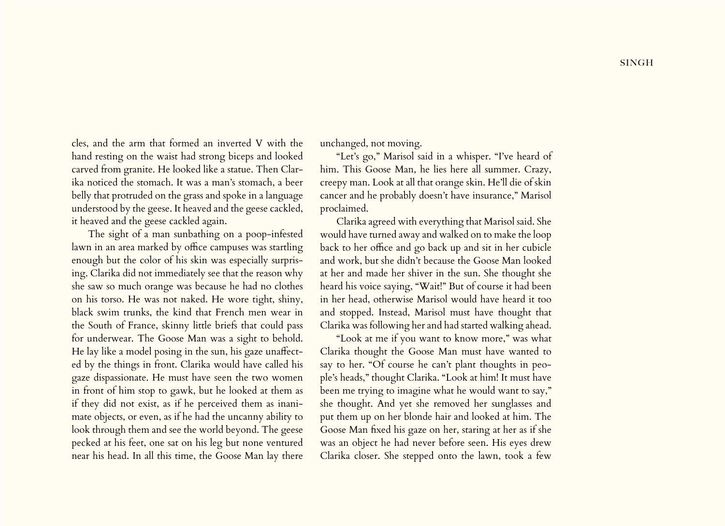cles, and the arm that formed an inverted V with the hand resting on the waist had strong biceps and looked carved from granite. He looked like a statue. Then Clarika noticed the stomach. It was a man's stomach, a beer belly that protruded on the grass and spoke in a language

it heaved and the geese cackled again. The sight of a man sunbathing on a poop-infested lawn in an area marked by office campuses was startling enough but the color of his skin was especially surprising. Clarika did not immediately see that the reason why she saw so much orange was because he had no clothes on his torso. He was not naked. He wore tight, shiny, black swim trunks, the kind that French men wear in the South of France, skinny little briefs that could pass for underwear. The Goose Man was a sight to behold. He lay like a model posing in the sun, his gaze unaffected by the things in front. Clarika would have called his gaze dispassionate. He must have seen the two women in front of him stop to gawk, but he looked at them as if they did not exist, as if he perceived them as inanimate objects, or even, as if he had the uncanny ability to look through them and see the world beyond. The geese pecked at his feet, one sat on his leg but none ventured near his head. In all this time, the Goose Man lay there

understood by the geese. It heaved and the geese cackled,

unchanged, not moving.

"Let's go," Marisol said in a whisper. "I've heard of him. This Goose Man, he lies here all summer. Crazy, creepy man. Look at all that orange skin. He'll die of skin cancer and he probably doesn't have insurance," Marisol proclaimed.

Clarika agreed with everything that Marisol said. She would have turned away and walked on to make the loop back to her office and go back up and sit in her cubicle and work, but she didn't because the Goose Man looked at her and made her shiver in the sun. She thought she heard his voice saying, "Wait!" But of course it had been in her head, otherwise Marisol would have heard it too and stopped. Instead, Marisol must have thought that Clarika was following her and had started walking ahead.

"Look at me if you want to know more," was what Clarika thought the Goose Man must have wanted to say to her. "Of course he can't plant thoughts in people's heads," thought Clarika. "Look at him! It must have been me trying to imagine what he would want to say," she thought. And yet she removed her sunglasses and put them up on her blonde hair and looked at him. The Goose Man fixed his gaze on her, staring at her as if she was an object he had never before seen. His eyes drew Clarika closer. She stepped onto the lawn, took a few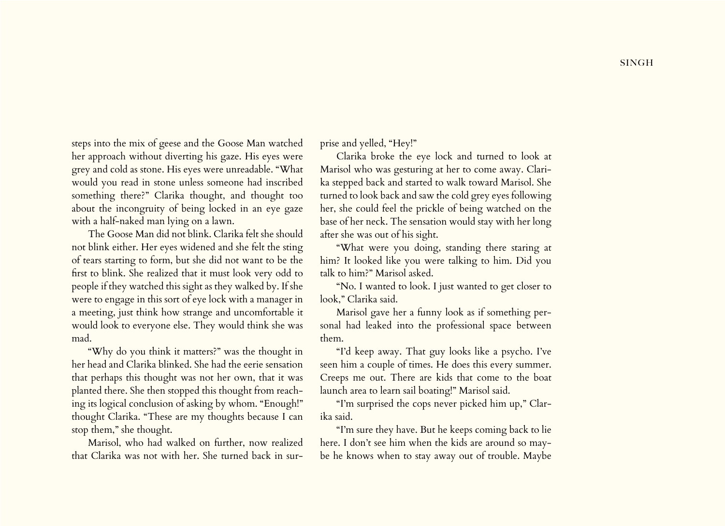steps into the mix of geese and the Goose Man watched her approach without diverting his gaze. His eyes were grey and cold as stone. His eyes were unreadable. "What would you read in stone unless someone had inscribed something there?" Clarika thought, and thought too about the incongruity of being locked in an eye gaze with a half-naked man lying on a lawn.

The Goose Man did not blink. Clarika felt she should not blink either. Her eyes widened and she felt the sting of tears starting to form, but she did not want to be the first to blink. She realized that it must look very odd to people if they watched this sight as they walked by. If she were to engage in this sort of eye lock with a manager in a meeting, just think how strange and uncomfortable it would look to everyone else. They would think she was mad.

"Why do you think it matters?" was the thought in her head and Clarika blinked. She had the eerie sensation that perhaps this thought was not her own, that it was planted there. She then stopped this thought from reaching its logical conclusion of asking by whom. "Enough!" thought Clarika. "These are my thoughts because I can stop them," she thought.

Marisol, who had walked on further, now realized that Clarika was not with her. She turned back in surprise and yelled, "Hey!"

Clarika broke the eye lock and turned to look at Marisol who was gesturing at her to come away. Clarika stepped back and started to walk toward Marisol. She turned to look back and saw the cold grey eyes following her, she could feel the prickle of being watched on the base of her neck. The sensation would stay with her long after she was out of his sight.

"What were you doing, standing there staring at him? It looked like you were talking to him. Did you talk to him?" Marisol asked.

"No. I wanted to look. I just wanted to get closer to look," Clarika said.

Marisol gave her a funny look as if something personal had leaked into the professional space between them.

"I'd keep away. That guy looks like a psycho. I've seen him a couple of times. He does this every summer. Creeps me out. There are kids that come to the boat launch area to learn sail boating!" Marisol said.

"I'm surprised the cops never picked him up," Clarika said.

"I'm sure they have. But he keeps coming back to lie here. I don't see him when the kids are around so maybe he knows when to stay away out of trouble. Maybe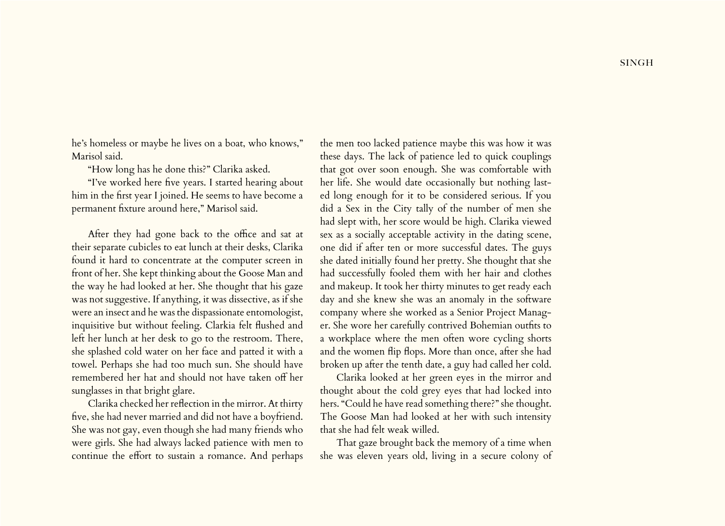**SINGH** 

he's homeless or maybe he lives on a boat, who knows," Marisol said.

"How long has he done this?" Clarika asked.

"I've worked here five years. I started hearing about him in the first year I joined. He seems to have become a permanent fixture around here," Marisol said.

After they had gone back to the office and sat at their separate cubicles to eat lunch at their desks, Clarika found it hard to concentrate at the computer screen in front of her. She kept thinking about the Goose Man and the way he had looked at her. She thought that his gaze was not suggestive. If anything, it was dissective, as if she were an insect and he was the dispassionate entomologist, inquisitive but without feeling. Clarkia felt flushed and left her lunch at her desk to go to the restroom. There, she splashed cold water on her face and patted it with a towel. Perhaps she had too much sun. She should have remembered her hat and should not have taken off her sunglasses in that bright glare.

Clarika checked her reflection in the mirror. At thirty five, she had never married and did not have a boyfriend. She was not gay, even though she had many friends who were girls. She had always lacked patience with men to continue the effort to sustain a romance. And perhaps

the men too lacked patience maybe this was how it was these days. The lack of patience led to quick couplings that got over soon enough. She was comfortable with her life. She would date occasionally but nothing lasted long enough for it to be considered serious. If you did a Sex in the City tally of the number of men she had slept with, her score would be high. Clarika viewed sex as a socially acceptable activity in the dating scene, one did if after ten or more successful dates. The guys she dated initially found her pretty. She thought that she had successfully fooled them with her hair and clothes and makeup. It took her thirty minutes to get ready each day and she knew she was an anomaly in the software company where she worked as a Senior Project Manager. She wore her carefully contrived Bohemian outfits to a workplace where the men often wore cycling shorts and the women flip flops. More than once, after she had broken up after the tenth date, a guy had called her cold.

Clarika looked at her green eyes in the mirror and thought about the cold grey eyes that had locked into hers. "Could he have read something there?" she thought. The Goose Man had looked at her with such intensity that she had felt weak willed.

That gaze brought back the memory of a time when she was eleven years old, living in a secure colony of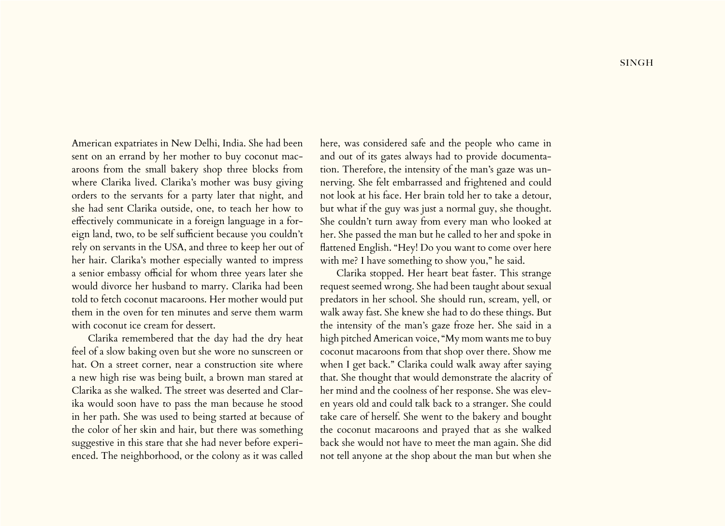American expatriates in New Delhi, India. She had been sent on an errand by her mother to buy coconut macaroons from the small bakery shop three blocks from where Clarika lived. Clarika's mother was busy giving orders to the servants for a party later that night, and she had sent Clarika outside, one, to teach her how to effectively communicate in a foreign language in a foreign land, two, to be self sufficient because you couldn't rely on servants in the USA, and three to keep her out of her hair. Clarika's mother especially wanted to impress a senior embassy official for whom three years later she would divorce her husband to marry. Clarika had been told to fetch coconut macaroons. Her mother would put them in the oven for ten minutes and serve them warm with coconut ice cream for dessert.

Clarika remembered that the day had the dry heat feel of a slow baking oven but she wore no sunscreen or hat. On a street corner, near a construction site where a new high rise was being built, a brown man stared at Clarika as she walked. The street was deserted and Clarika would soon have to pass the man because he stood in her path. She was used to being started at because of the color of her skin and hair, but there was something suggestive in this stare that she had never before experienced. The neighborhood, or the colony as it was called

here, was considered safe and the people who came in and out of its gates always had to provide documentation. Therefore, the intensity of the man's gaze was unnerving. She felt embarrassed and frightened and could not look at his face. Her brain told her to take a detour, but what if the guy was just a normal guy, she thought. She couldn't turn away from every man who looked at her. She passed the man but he called to her and spoke in flattened English. "Hey! Do you want to come over here with me? I have something to show you," he said.

Clarika stopped. Her heart beat faster. This strange request seemed wrong. She had been taught about sexual predators in her school. She should run, scream, yell, or walk away fast. She knew she had to do these things. But the intensity of the man's gaze froze her. She said in a high pitched American voice, "My mom wants me to buy coconut macaroons from that shop over there. Show me when I get back." Clarika could walk away after saying that. She thought that would demonstrate the alacrity of her mind and the coolness of her response. She was eleven years old and could talk back to a stranger. She could take care of herself. She went to the bakery and bought the coconut macaroons and prayed that as she walked back she would not have to meet the man again. She did not tell anyone at the shop about the man but when she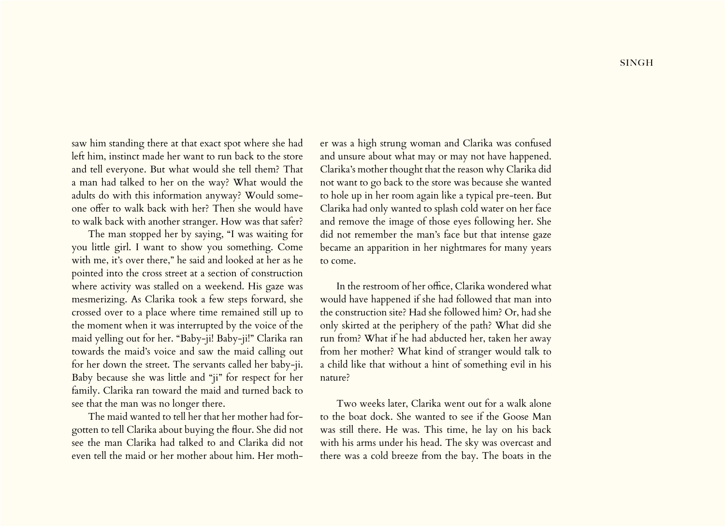saw him standing there at that exact spot where she had left him, instinct made her want to run back to the store and tell everyone. But what would she tell them? That a man had talked to her on the way? What would the adults do with this information anyway? Would someone offer to walk back with her? Then she would have to walk back with another stranger. How was that safer?

The man stopped her by saying, "I was waiting for you little girl. I want to show you something. Come with me, it's over there," he said and looked at her as he pointed into the cross street at a section of construction where activity was stalled on a weekend. His gaze was mesmerizing. As Clarika took a few steps forward, she crossed over to a place where time remained still up to the moment when it was interrupted by the voice of the maid yelling out for her. "Baby-ji! Baby-ji!" Clarika ran towards the maid's voice and saw the maid calling out for her down the street. The servants called her baby-ji. Baby because she was little and "ji" for respect for her family. Clarika ran toward the maid and turned back to see that the man was no longer there.

The maid wanted to tell her that her mother had forgotten to tell Clarika about buying the flour. She did not see the man Clarika had talked to and Clarika did not even tell the maid or her mother about him. Her mother was a high strung woman and Clarika was confused and unsure about what may or may not have happened. Clarika's mother thought that the reason why Clarika did not want to go back to the store was because she wanted to hole up in her room again like a typical pre-teen. But Clarika had only wanted to splash cold water on her face and remove the image of those eyes following her. She did not remember the man's face but that intense gaze became an apparition in her nightmares for many years to come.

In the restroom of her office, Clarika wondered what would have happened if she had followed that man into the construction site? Had she followed him? Or, had she only skirted at the periphery of the path? What did she run from? What if he had abducted her, taken her away from her mother? What kind of stranger would talk to a child like that without a hint of something evil in his nature?

Two weeks later, Clarika went out for a walk alone to the boat dock. She wanted to see if the Goose Man was still there. He was. This time, he lay on his back with his arms under his head. The sky was overcast and there was a cold breeze from the bay. The boats in the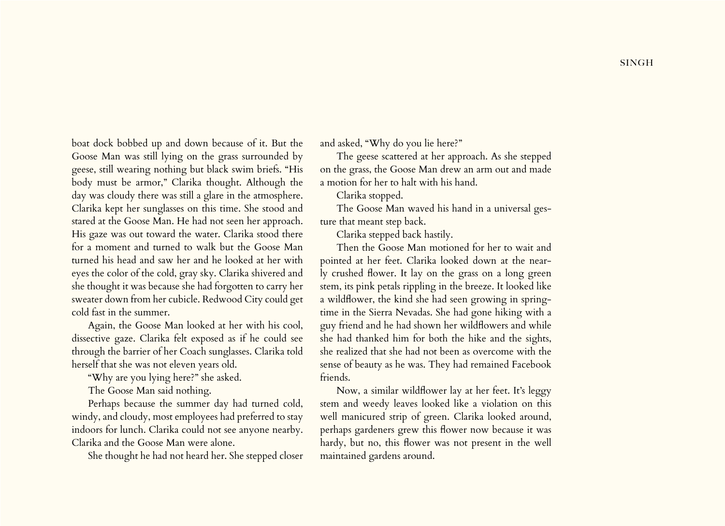boat dock bobbed up and down because of it. But the Goose Man was still lying on the grass surrounded by geese, still wearing nothing but black swim briefs. "His body must be armor," Clarika thought. Although the day was cloudy there was still a glare in the atmosphere. Clarika kept her sunglasses on this time. She stood and stared at the Goose Man. He had not seen her approach. His gaze was out toward the water. Clarika stood there for a moment and turned to walk but the Goose Man turned his head and saw her and he looked at her with eyes the color of the cold, gray sky. Clarika shivered and she thought it was because she had forgotten to carry her sweater down from her cubicle. Redwood City could get cold fast in the summer.

Again, the Goose Man looked at her with his cool, dissective gaze. Clarika felt exposed as if he could see through the barrier of her Coach sunglasses. Clarika told herself that she was not eleven years old.

"Why are you lying here?" she asked.

The Goose Man said nothing.

Perhaps because the summer day had turned cold, windy, and cloudy, most employees had preferred to stay indoors for lunch. Clarika could not see anyone nearby. Clarika and the Goose Man were alone.

She thought he had not heard her. She stepped closer

and asked, "Why do you lie here?"

The geese scattered at her approach. As she stepped on the grass, the Goose Man drew an arm out and made a motion for her to halt with his hand.

Clarika stopped.

The Goose Man waved his hand in a universal gesture that meant step back.

Clarika stepped back hastily.

Then the Goose Man motioned for her to wait and pointed at her feet. Clarika looked down at the nearly crushed flower. It lay on the grass on a long green stem, its pink petals rippling in the breeze. It looked like a wildflower, the kind she had seen growing in springtime in the Sierra Nevadas. She had gone hiking with a guy friend and he had shown her wildflowers and while she had thanked him for both the hike and the sights, she realized that she had not been as overcome with the sense of beauty as he was. They had remained Facebook friends.

Now, a similar wildflower lay at her feet. It's leggy stem and weedy leaves looked like a violation on this well manicured strip of green. Clarika looked around, perhaps gardeners grew this flower now because it was hardy, but no, this flower was not present in the well maintained gardens around.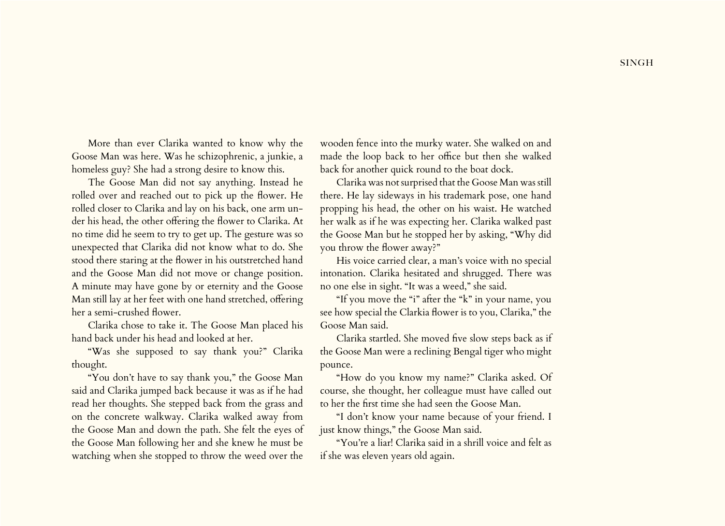More than ever Clarika wanted to know why the Goose Man was here. Was he schizophrenic, a junkie, a homeless guy? She had a strong desire to know this.

The Goose Man did not say anything. Instead he rolled over and reached out to pick up the flower. He rolled closer to Clarika and lay on his back, one arm under his head, the other offering the flower to Clarika. At no time did he seem to try to get up. The gesture was so unexpected that Clarika did not know what to do. She stood there staring at the flower in his outstretched hand and the Goose Man did not move or change position. A minute may have gone by or eternity and the Goose Man still lay at her feet with one hand stretched, offering her a semi-crushed flower.

Clarika chose to take it. The Goose Man placed his hand back under his head and looked at her.

"Was she supposed to say thank you?" Clarika thought.

"You don't have to say thank you," the Goose Man said and Clarika jumped back because it was as if he had read her thoughts. She stepped back from the grass and on the concrete walkway. Clarika walked away from the Goose Man and down the path. She felt the eyes of the Goose Man following her and she knew he must be watching when she stopped to throw the weed over the

wooden fence into the murky water. She walked on and made the loop back to her office but then she walked back for another quick round to the boat dock.

Clarika was not surprised that the Goose Man was still there. He lay sideways in his trademark pose, one hand propping his head, the other on his waist. He watched her walk as if he was expecting her. Clarika walked past the Goose Man but he stopped her by asking, "Why did you throw the flower away?"

His voice carried clear, a man's voice with no special intonation. Clarika hesitated and shrugged. There was no one else in sight. "It was a weed," she said.

"If you move the "i" after the "k" in your name, you see how special the Clarkia flower is to you, Clarika," the Goose Man said.

Clarika startled. She moved five slow steps back as if the Goose Man were a reclining Bengal tiger who might pounce.

"How do you know my name?" Clarika asked. Of course, she thought, her colleague must have called out to her the first time she had seen the Goose Man.

"I don't know your name because of your friend. I just know things," the Goose Man said.

"You're a liar! Clarika said in a shrill voice and felt as if she was eleven years old again.